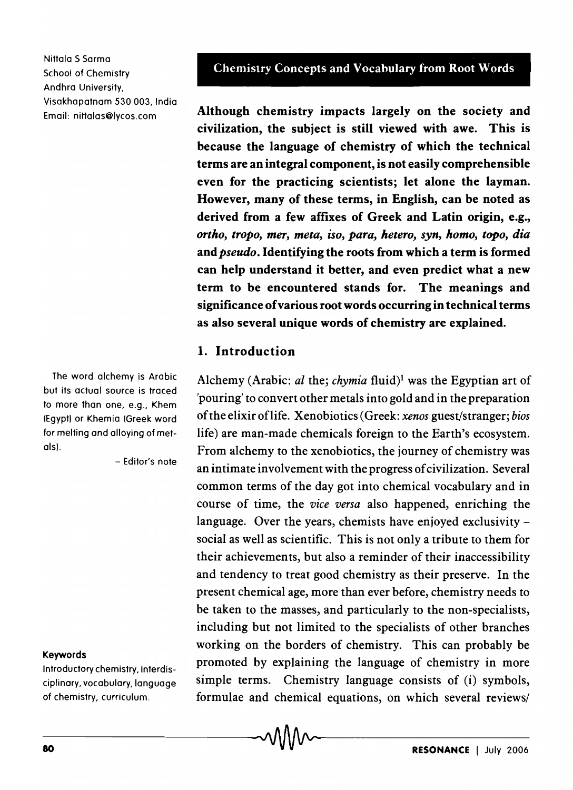Nittala 5 Sarma School of Chemistry Andhra University, Visakhapatnam 530 003, India Email: nittalas@lycos.com

The word alchemy is Arabic but its actual source is traced to more than one, e.g., Khem (Egypt) or Khemia (Greek word for melting and alloying of metals!.

- Editor's note

#### Keywords

Introductory chemistry, interdisciplinary, vocabulary, language of chemistry, curriculum.

#### Chemistry Concepts and Vocabulary from Root Words

Although chemistry impacts largely on the society and civilization, the subject is still viewed with awe. This is because the language of chemistry of which the technical terms are an integral component, is not easily comprehensible even for the practicing scientists; let alone the layman. However, many of these terms, in English, can be noted as derived from a few affixes of Greek and Latin origin, e.g., *ortho, tropo, mer, meta, iso, para, hetero, syn, homo, tapo, dia*  and *pseudo*. Identifying the roots from which a term is formed can help understand it better, and even predict what a new term to be encountered stands for. The meanings and significance of various root words occurring in technical terms as also several unique words of chemistry are explained.

#### 1. Introduction

Alchemy (Arabic: *al* the; *chymia* fluid)<sup>1</sup> was the Egyptian art of 'pouring' to convert other metals into gold and in the preparation of the elixir oflife. Xenobiotics (Greek: *xenos* guest/stranger; *bios*  life) are man-made chemicals foreign to the Earth's ecosystem. From alchemy to the xenobiotics, the journey of chemistry was an intimate involvement with the progress of civilization. Several common terms of the day got into chemical vocabulary and in course of time, the *vice versa* also happened, enriching the language. Over the years, chemists have enjoyed exclusivity – social as well as scientific. This is not only a tribute to them for their achievements, but also a reminder of their inaccessibility and tendency to treat good chemistry as their preserve. In the present chemical age, more than ever before, chemistry needs to be taken to the masses, and particularly to the non-specialists, including but not limited to the specialists of other branches working on the borders of chemistry. This can probably be promoted by explaining the language of chemistry in more simple terms. Chemistry language consists of (i) symbols, formulae and chemical equations, on which several reviews/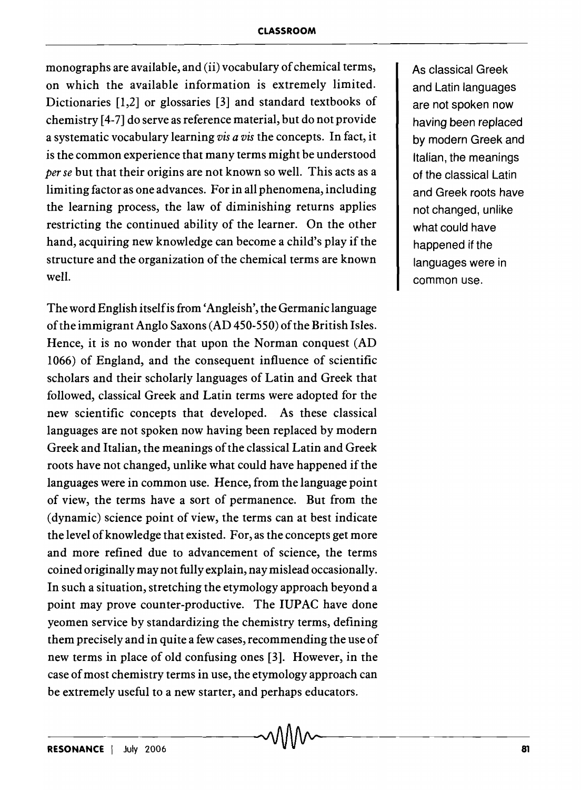#### **CLASSROOM**

monographs are available, and (ii) vocabulary of chemical terms, on which the available information is extremely limited. Dictionaries [1,2] or glossaries [3] and standard textbooks of chemistry [4-7] do serve as reference material, but do not provide a systematic vocabulary learning *vis a vis* the concepts. In fact, it is the common experience that many terms might be understood *per se* but that their origins are not known so well. This acts as a limiting factor as one advances. For in all phenomena, including the learning process, the law of diminishing returns applies restricting the continued ability of the learner. On the other hand, acquiring new knowledge can become a child's play if the structure and the organization of the chemical terms are known well.

The word English itselfis from 'Angleish', the Germanic language of the immigrant Anglo Saxons (AD 450-550) of the British Isles. Hence, it is no wonder that upon the Norman conquest (AD 1066) of England, and the consequent influence of scientific scholars and their scholarly languages of Latin and Greek that followed, classical Greek and Latin terms were adopted for the new scientific concepts that developed. As these classical languages are not spoken now having been replaced by modern Greek and Italian, the meanings of the classical Latin and Greek roots have not changed, unlike what could have happened if the languages were in common use. Hence, from the language point of view, the terms have a sort of permanence. But from the (dynamic) science point of view, the terms can at best indicate the level of knowledge that existed. For, as the concepts get more and more refined due to advancement of science, the terms coined originally may not fully explain, nay mislead occasionally. In such a situation, stretching the etymology approach beyond a point may prove counter-productive. The IUPAC have done yeomen service by standardizing the chemistry terms, defining them precisely and in quite a few cases, recommending the use of new terms in place of old confusing ones [3]. However, in the case of most chemistry terms in use, the etymology approach can be extremely useful to a new starter, and perhaps educators.

 $R_0$  and  $R_0$  and  $R_0$  and  $R_0$  is the set of  $\mathcal{O}(n)$  if  $\mathcal{O}(n)$  is the set of  $\mathcal{O}(n)$ 

As classical Greek and Latin languages are not spoken now having been replaced by modern Greek and Italian, the meanings of the classical Latin and Greek roots have not changed, unlike what could have happened if the languages were in common use.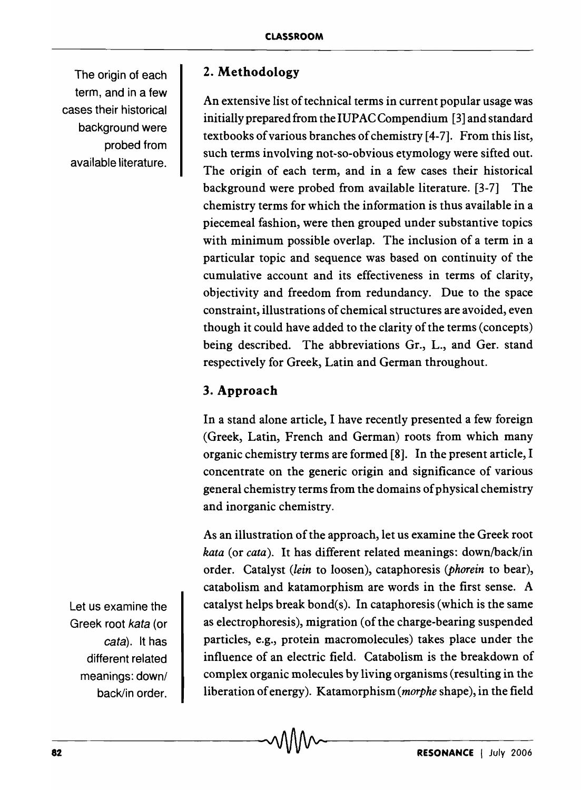The origin of each term, and in a few cases their historical background were probed from available literature.

# 2. **Methodology**

An extensive list of technical terms in current popular usage was initially prepared from the IUPAC Compendium [3] and standard textbooks of various branches of chemistry [4-7]. From this list, such terms involving not-so-obvious etymology were sifted out. The origin of each term, and in a few cases their historical background were probed from available literature. [3-7] The chemistry terms for which the information is thus available in a piecemeal fashion, were then grouped under substantive topics with minimum possible overlap. The inclusion of a term in a particular topic and sequence was based on continuity of the cumulative account and its effectiveness in terms of clarity, objectivity and freedom from redundancy. Due to the space constraint, illustrations of chemical structures are avoided, even though it could have added to the clarity of the terms (concepts) being described. The abbreviations Gr., L., and Ger. stand respectively for Greek, Latin and German throughout.

# 3. **Approach**

In a stand alone article, I have recently presented a few foreign (Greek, Latin, French and German) roots from which many organic chemistry terms are formed [8]. In the present article, I concentrate on the generic origin and significance of various general chemistry terms from the domains of physical chemistry and inorganic chemistry.

As an illustration of the approach, let us examine the Greek root *kata* (or *cata).* It has different related meanings: down/back/in order. Catalyst *(lein* to loosen), cataphoresis *(phorein* to bear), catabolism and katamorphism are words in the first sense. A catalyst helps break bond(s). In cataphoresis (which is the same as electrophoresis), migration (of the charge-bearing suspended particles, e.g., protein macromolecules) takes place under the influence of an electric field. Catabolism is the breakdown of complex organic molecules by living organisms (resulting in the liberation of energy). Katamorphism *(morphe* shape), in the field

-2------------------------------~~---------------------------

Let us examine the Greek root kata (or cata). It has different related meanings: down/ back/in order.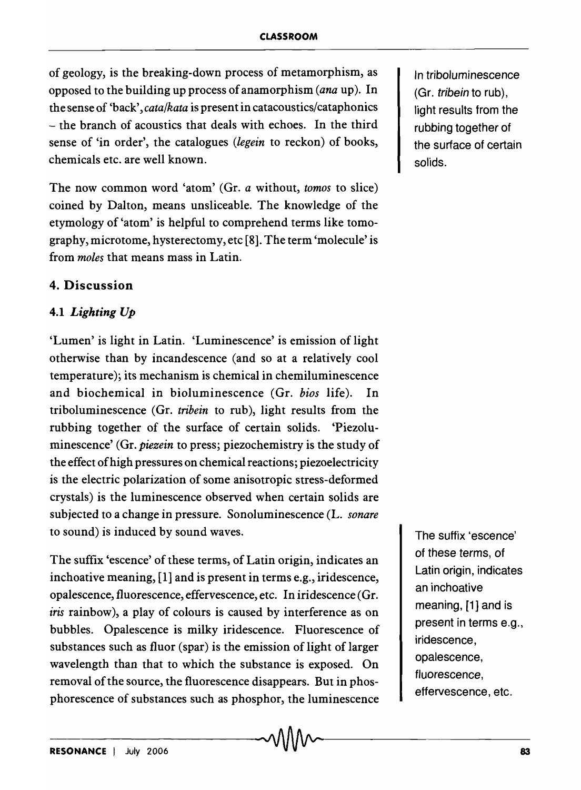of geology, is the breaking-down process of metamorphism, as opposed to the building up process of anamorphism *(ana* up). In the sense of 'back', *catalkata* is present in catacoustics/cataphonics - the branch of acoustics that deals with echoes. In the third sense of 'in order', the catalogues *(legein* to reckon) of books, chemicals etc. are well known.

The now common word 'atom' (Gr. *a* without, *tomos* to slice) coined by Dalton, means unsliceable. The knowledge of the etymology of 'atom' is helpful to comprehend terms like tomography, microtome, hysterectomy, etc [8]. The term 'molecule' is from *moles* that means mass in Latin.

### 4. Discussion

#### *4.1 Lighting* Up

'Lumen' is light in Latin. 'Luminescence' is emission of light otherwise than by incandescence (and so at a relatively cool temperature); its mechanism is chemical in chemiluminescence and biochemical in bioluminescence (Gr. *bios* life). In triboluminescence (Gr. *tribein* to rub), light results from the rubbing together of the surface of certain solids. 'Piezoluminescence' (Gr. *piezein* to press; piezochemistry is the study of the effect of high pressures on chemical reactions; piezoelectricity is the electric polarization of some anisotropic stress-deformed crystals) is the luminescence observed when certain solids are subjected to a change in pressure. Sonoluminescence (L. *sonare*  to sound) is induced by sound waves.

The suffix 'escence' of these terms, of Latin origin, indicates an inchoative meaning, [1] and is present in terms e.g., iridescence, opalescence, fluorescence, effervescence, etc. In iridescence (Gr. iris rainbow), a play of colours is caused by interference as on bubbles. Opalescence is milky iridescence. Fluorescence of substances such as fluor (spar) is the emission of light of larger wavelength than that to which the substance is exposed. On removal of the source, the fluorescence disappears. But in phosphorescence of substances such as phosphor, the luminescence

In triboluminescence (Gr. tribein to rub), light results from the rubbing together of the surface of certain solids.

The suffix 'escence' of these terms, of Latin origin, indicates an inchoative meaning, [1] and is present in terms e.g., iridescence, opalescence, fluorescence, effervescence, etc.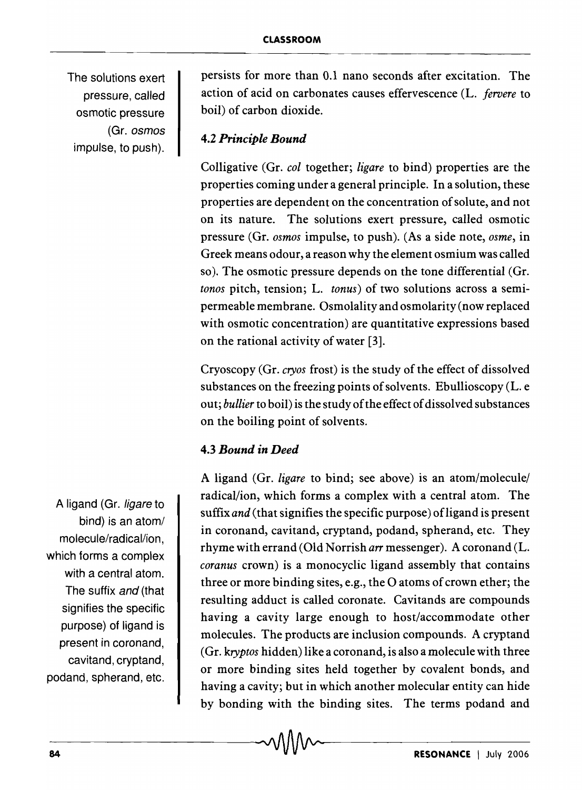The solutions exert pressure, called osmotic pressure (Gr.osmos impulse, to push).

persists for more than 0.1 nano seconds after excitation. The action of acid on carbonates causes effervescence (L. *fervere* to boil) of carbon dioxide.

# *4.2 Principle Bound*

Colligative (Gr. *col* together; *ligare* to bind) properties are the properties coming under a general principle. In a solution, these properties are dependent on the concentration of solute, and not on its nature. The solutions exert pressure, called osmotic pressure (Gr. *osmos* impulse, to push). (As a side note, *osme,* in Greek means odour, a reason why the element osmium was called so). The osmotic pressure depends on the tone differential (Gr. *tonos* pitch, tension; L. *tonus)* of two solutions across a semipermeable membrane. Osmolality and osmolarity (now replaced with osmotic concentration) are quantitative expressions based on the rational activity of water [3].

Cryoscopy (Gr. *cryos* frost) is the study of the effect of dissolved substances on the freezing points of solvents. Ebullioscopy (L. e out; *bullier* to boil) is the study of the effect of dissolved substances on the boiling point of solvents.

## *4.3 Bound in Deed*

A ligand (Gr. *ligare* to bind; see above) is an atom/molecule/ radical/ion, which forms a complex with a central atom. The suffix *and* (that signifies the specific purpose) of ligand is present in coronand, cavitand, cryptand, podand, spherand, etc. They rhyme with errand (Old Norrish arr messenger). A coronand (L. *coranus* crown) is a monocyclic ligand assembly that contains three or more binding sites, e.g., the 0 atoms of crown ether; the resulting adduct is called coronate. Cavitands are compounds having a cavity large enough to host/accommodate other molecules. The products are inclusion compounds. A cryptand (Gr. *kryptos* hidden) like a coronand, is also a molecule with three or more binding sites held together by covalent bonds, and having a cavity; but in which another molecular entity can hide by bonding with the binding sites. The terms podand and

A ligand (Gr. ligare to bind) is an atom/ molecule/radical/ion, which forms a complex with a central atom. The suffix and (that signifies the specific purpose) of ligand is present in coronand, cavitand, cryptand, podand, spherand, etc.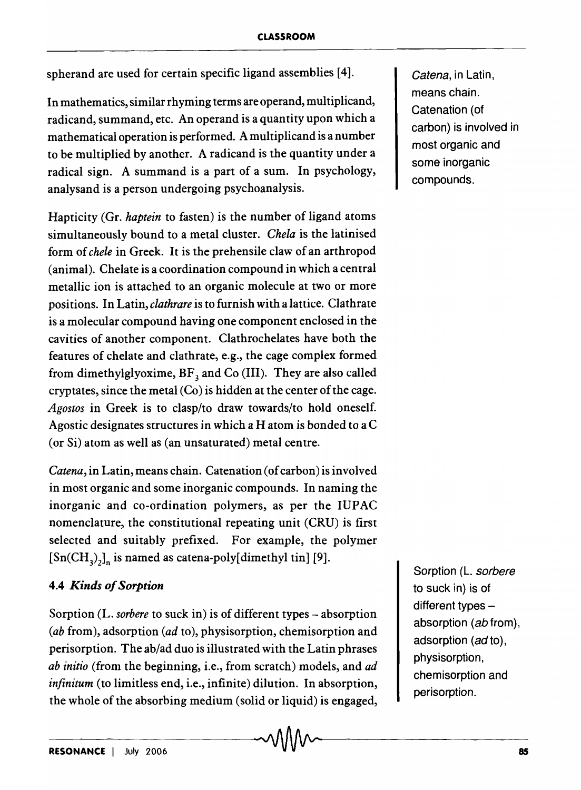spherand are used for certain specific ligand assemblies [4].

In mathematics, similar rhyming terms are operand, multiplicand, radicand, summand, etc. An operand is a quantity upon which a mathematical operation is performed. A multiplicand is a number to be multiplied by another. A radicand is the quantity under a radical sign. A summand is a part of a sum. In psychology, analysand is a person undergoing psychoanalysis.

Hapticity (Gr. *haptein* to fasten) is the number of ligand atoms simultaneously bound to a metal cluster. *Chela* is the latinised form of *chele* in Greek. It is the prehensile claw of an arthropod (animal). Chelate is a coordination compound in which a central metallic ion is attached to an organic molecule at two or more positions. In Latin, *clathrare* is to furnish with a lattice. Clathrate is a molecular compound having one component enclosed in the cavities of another component. Clathrochelates have both the features of chelate and clathrate, e.g., the cage complex formed from dimethylglyoxime,  $BF<sub>3</sub>$  and Co (III). They are also called cryptates, since the metal (Co) is hidden at the center of the cage. *Agostos* in Greek is to clasp/to draw towards/to hold oneself. Agostic designates structures in which a H atom is bonded to a C (or Si) atom as well as (an unsaturated) metal centre.

*Catena,* in Latin, means chain. Catenation (of carbon) is involved in most organic and some inorganic compounds. In naming the inorganic and co-ordination polymers, as per the IUPAC nomenclature, the constitutional repeating unit (CRU) is first selected and suitably prefixed. For example, the polymer  $Sn(CH_3)_2]_n$  is named as catena-poly[dimethyl tin] [9].

### *4.4 Kinds of Sorption*

Sorption (L. *sorbere* to suck in) is of different types – absorption *(ab* from), adsorption *(ad* to), physisorption, chemisorption and perisorption. The ab/ad duo is illustrated with the Latin phrases *ab initio* (from the beginning, i.e., from scratch) models, and *ad infinitum* (to limitless end, i.e., infinite) dilution. In absorption, the whole of the absorbing medium (solid or liquid) is engaged,

 $\sim$ 

Catena, in Latin, means chain. Catenation (of carbon) is involved in most organic and some inorganic compounds.

Sorption (L. sorbere to suck in) is of  $d$ ifferent types  $$ absorption (ab from), adsorption (ad to), physisorption, chemisorption and perisorption.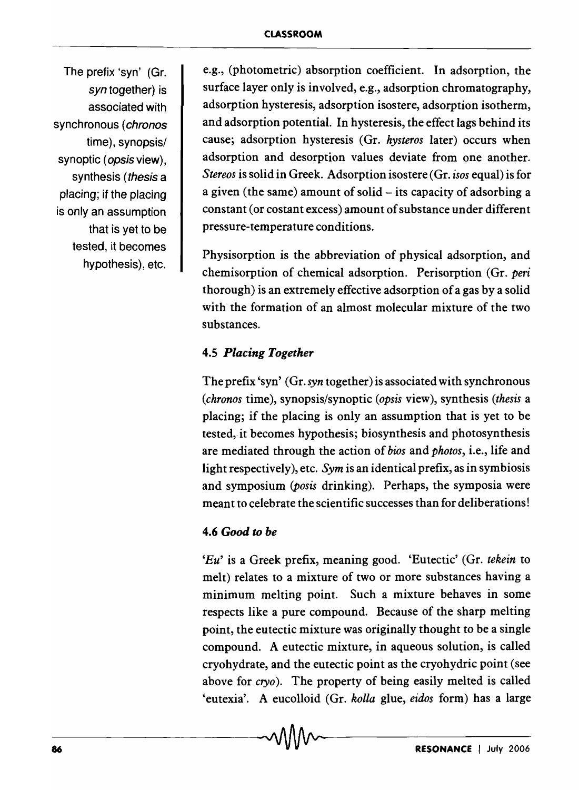The prefix 'syn' (Gr. syn together) is associated with synchronous (chronos time), synopsis/ synoptic (opsis view), synthesis (thesis a placing; if the placing is only an assumption that is yet to be tested, it becomes hypothesis), etc.

e.g., (photometric) absorption coefficient. In adsorption, the surface layer only is involved, e.g., adsorption chromatography, adsorption hysteresis, adsorption isostere, adsorption isotherm, and adsorption potential. In hysteresis, the effect lags behind its cause; adsorption hysteresis (Gr. *hysteros* later) occurs when adsorption and desorption values deviate from one another. *Stereos* is solid in Greek. Adsorption isostere (Gr. *isos* equal) is for a given (the same) amount of solid – its capacity of adsorbing a constant (or costant excess) amount of substance under different pressure-temperature conditions.

Physisorption is the abbreviation of physical adsorption, and chemisorption of chemical adsorption. Perisorption (Gr. *peri*  thorough) is an extremely effective adsorption of a gas by a solid with the formation of an almost molecular mixture of the two substances.

# *4.5 Placing Together*

The prefix 'syn' *(Gr.syn* together) is associated with synchronous *(chronos* time), synopsis/synoptic *(opsis* view), synthesis *(thesis* a placing; if the placing is only an assumption that is yet to be tested, it becomes hypothesis; biosynthesis and photosynthesis are mediated through the action of *bios* and *photos,* i.e., life and light respectively), etc. *Sym* is an identical prefix, as in symbiosis and symposium *(posis* drinking). Perhaps, the symposia were meant to celebrate the scientific successes than for deliberations!

# *4.6 Good to be*

*'Eu'* is a Greek prefix, meaning good. 'Eutectic' (Gr. *tekein* to melt) relates to a mixture of two or more substances having a minimum melting point. Such a mixture behaves in some respects like a pure compound. Because of the sharp melting point, the eutectic mixture was originally thought to be a single compound. A eutectic mixture, in aqueous solution, is called cryohydrate, and the eutectic point as the cryohydric point (see above for *cryo).* The property of being easily melted is called 'eutexia'. A eucolloid (Gr. *kolla* glue, *eidos* form) has a large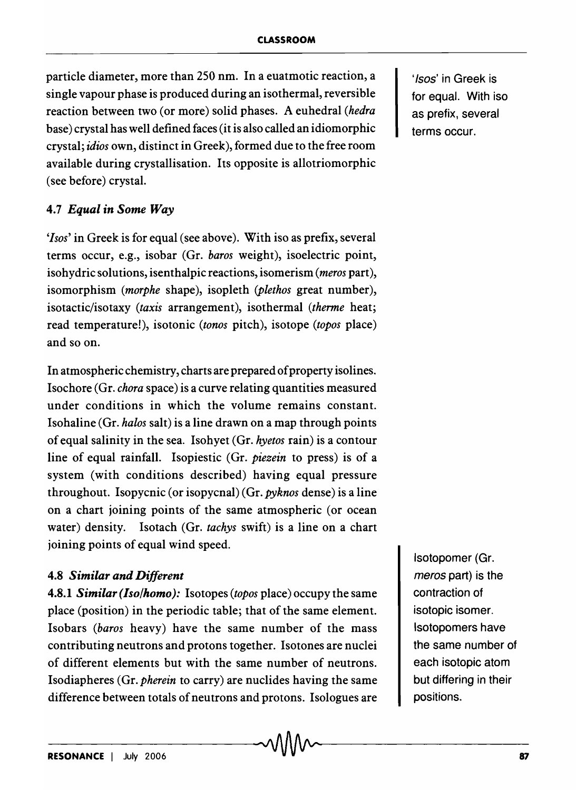particle diameter, more than 250 nm. In a euatmotic reaction, a single vapour phase is produced during an isothermal, reversible reaction between two ( or more) solid phases. A euhedral *(hedra*  base) crystal has well defined faces (it is also called an idiom orphic crystal; *idios* own, distinct in Greek), formed due to the free room available during crystallisation. Its opposite is allotriomorphic (see before) crystal.

#### *4.7 Equal in Some Way*

*'/sos'* in Greek is for equal (see above). With iso as prefix, several terms occur, e.g., isobar (Gr. *baros* weight), isoelectric point, isohydric solutions, isenthalpic reactions, isomerism *(meros* part), isomorphism *(morphe* shape), isopleth *(plethos* great number), isotactic/isotaxy *(taxis* arrangement), isothermal *(therme* heat; read temperature!), isotonic *(tonos* pitch), isotope *(topos* place) and so on.

In atmospheric chemistry, charts are prepared of property isolines. Isochore (Gr. *chora* space) is a curve relating quantities measured under conditions in which the volume remains constant. Isohaline (Gr. *halos* salt) is a line drawn on a map through points of equal salinity in the sea. Isohyet (Gr. *hyetos* rain) is a contour line of equal rainfall. Isopiestic (Gr. *piezein* to press) is of a system (with conditions described) having equal pressure throughout. Isopycnic (or isopycnal) (Gr. *pyknos* dense) is a line on a chart joining points of the same atmospheric (or ocean water) density. Isotach (Gr. *tachys* swift) is a line on a chart joining points of equal wind speed.

#### *4.8 Similar and Different*

*4.8.1 Similar (Iso/homo):* Isotopes *(topos* place) occupy the same place (position) in the periodic table; that of the same element. Isobars *(baros* heavy) have the same number of the mass contributing neutrons and protons together. Isotones are nuclei of different elements but with the same number of neutrons. Isodiapheres (Gr. *pherein* to carry) are nuclides having the same difference between totals of neutrons and protons. Isologues are

'/505' in Greek is for equal. With iso as prefix, several terms occur.

Isotopomer (Gr. meros part) is the contraction of isotopic isomer. Isotopomers have the same number of each isotopic atom but differing in their positions.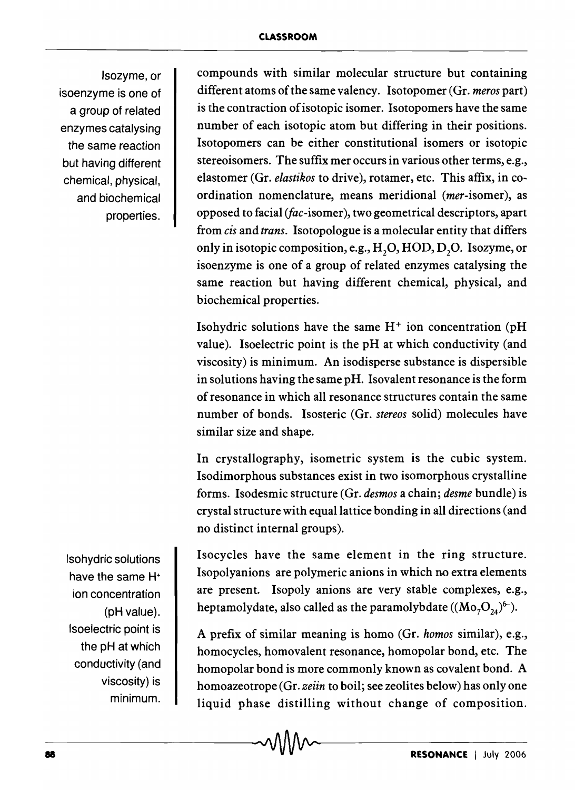Isozyme, or isoenzyme is one of a group of related enzymes catalysing the same reaction but having different chemical, physical, and biochemical properties.

compounds with similar molecular structure but containing different atoms of the same valency. Isotopomer (Gr. *meros* part) is the contraction of isotopic isomer. Isotopomers have the same number of each isotopic atom but differing in their positions. Isotopomers can be either constitutional isomers or isotopic stereoisomers. The suffix mer occurs in various other terms, e.g., elastomer (Gr. *elastikos* to drive), rotamer, etc. This affix, in coordination nomenclature, means meridional (mer-isomer), as opposed to facial *(fae-isomer),* two geometrical descriptors, apart from *eis* and *trans.* Isotopologue is a molecular entity that differs only in isotopic composition, e.g., H<sub>2</sub>O, HOD, D<sub>2</sub>O. Isozyme, or isoenzyme is one of a group of related enzymes catalysing the same reaction but having different chemical, physical, and biochemical properties.

Isohydric solutions have the same  $H^+$  ion concentration (pH value). Isoelectric point is the pH at which conductivity (and viscosity) is minimum. An isodisperse substance is dispersible in solutions having the same pH. Isovalent resonance is the form of resonance in which all resonance structures contain the same number of bonds. Isosteric (Gr. *stereos* solid) molecules have similar size and shape.

In crystallography, isometric system is the cubic system. Isodimorphous substances exist in two isomorphous crystalline forms. Isodesmic structure (Gr. *desmos* a chain; *desme* bundle) is crystal structure with equal lattice bonding in all directions (and no distinct internal groups).

Isohydric solutions have the same H+ ion concentration (pH value). Isoelectric point is the pH at which conductivity (and viscosity) is minimum.

Isocycles have the same element in the ring structure. Isopolyanions are polymeric anions in which no extra elements are present. Isopoly anions are very stable complexes, e.g., heptamolydate, also called as the paramolybdate  $((Mo<sub>2</sub>O<sub>24</sub>)<sup>6</sup>)$ .

A prefix of similar meaning is homo (Gr. *homos* similar), e.g., homocycles, homovalent resonance, homopolar bond, etc. The homopolar bond is more commonly known as covalent bond. A homoazeotrope (Gr. *zeiin* to boil; see zeolites below) has only one liquid phase distilling without change of composition.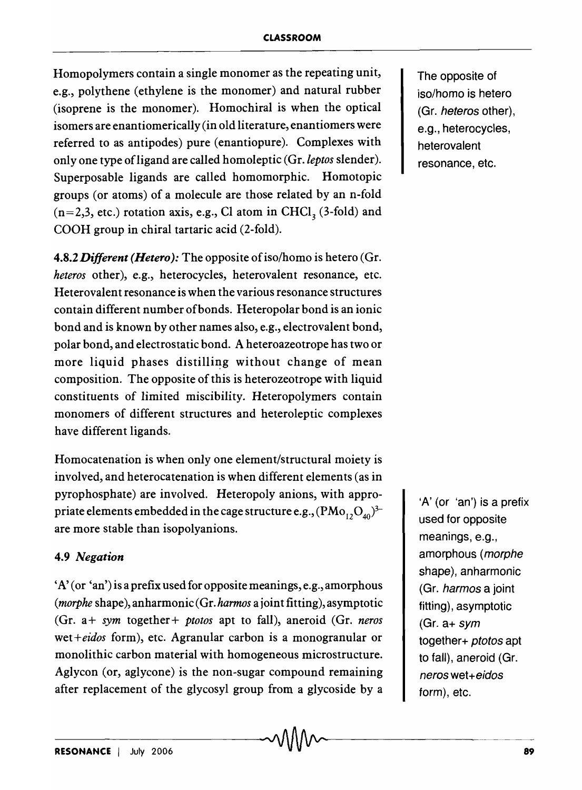Homopolymers contain a single monomer as the repeating unit, e.g., polythene (ethylene is the monomer) and natural rubber (isoprene is the monomer). Homochiral is when the optical isomers are enantiomerically (in old literature, enantiomers were referred to as antipodes) pure (enantiopure). Complexes with only one type ofligand are called homoleptic *(Gr.leptos* slender). Superposable ligands are called homomorphic. Homotopic groups (or atoms) of a molecule are those related by an n-fold  $(n=2,3, etc.)$  rotation axis, e.g., Cl atom in CHCl,  $(3-fold)$  and COOH group in chiral tartaric acid (2-fold).

4.8.2 *Different (Hetero):* The opposite of iso/homo is hetero (Gr. *heteros* other), e.g., heterocycles, heterovalent resonance, etc. Heterovalent resonance is when the various resonance structures contain different number of bonds. Heteropolar bond is an ionic bond and is known by other names also, e.g., electrovalent bond, polar bond, and electrostatic bond. A heteroazeotrope has two or more liquid phases distilling without change of mean composition. The opposite of this is heterozeotrope with liquid constituents of limited miscibility. Heteropolymers contain monomers of different structures and heteroleptic complexes have different ligands.

Homocatenation is when only one element/structural moiety is involved, and heterocatenation is when different elements (as in pyrophosphate) are involved. Heteropoly anions, with appropriate elements embedded in the cage structure e.g.,  $(PMo<sub>1</sub>, O<sub>40</sub>)<sup>3</sup>$ are more stable than isopolyanions.

### *4.9 Negation*

'A' (or 'an') is a prefix used for opposite meanings, e.g., amorphous *(morphe* shape), anharmonic (Gr. *harmos* a joint fitting), asymptotic (Gr. a + *sym* together+ *ptotos* apt to fall), aneroid (Gr. *neros wet+eidos* form), etc. Agranular carbon is a monogranular or monolithic carbon material with homogeneous microstructure. Aglycon (or, aglycone) is the non-sugar compound remaining after replacement of the glycosyl group from a glycoside by a The opposite of iso/homo is hetero (Gr. heteros other), e.g., heterocycles, heterovalent resonance, etc.

'A' (or 'an') is a prefix used for opposite meanings, e.g., amorphous (morphe shape), anharmonic (Gr. harmos a joint fitting), asymptotic (Gr.  $a + sym$ together+ *ptotos* apt to fall), aneroid (Gr. neros wet+eidos form), etc.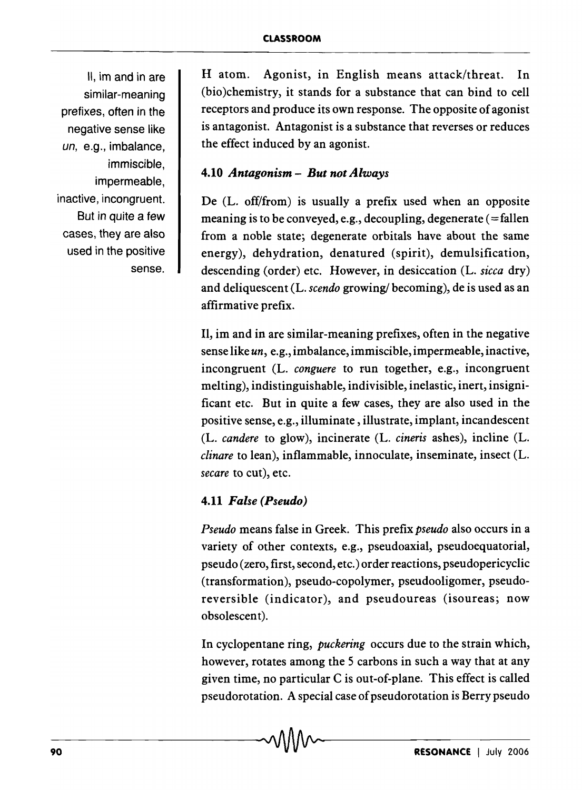II, im and in are similar-meaning prefixes, often in the negative sense like un, e.g., imbalance, immiscible, impermeable, inactive, incongruent. But in quite a few cases, they are also used in the positive sense.

H atom. Agonist, in English means attack/threat. In (bio )chemistry, it stands for a substance that can bind to cell receptors and produce its own response. The opposite of agonist is antagonist. Antagonist is a substance that reverses or reduces the effect induced by an agonist.

### *4.10 Antagonism* - *But not Always*

De (L. off/from) is usually a prefix used when an opposite meaning is to be conveyed, e.g., decoupling, degenerate  $( =$  fallen from a noble state; degenerate orbitals have about the same energy), dehydration, denatured (spirit), demulsification, descending (order) etc. However, in desiccation (L. *sicca* dry) and deliquescent (L. *scendo* growing/becoming), de is used as an affirmative prefix.

11, im and in are similar-meaning prefixes, often in the negative sense like *un,* e.g., imbalance, immiscible, impermeable, inactive, incongruent (L. *conguere* to run together, e.g., incongruent melting), indistinguishable, indivisible, inelastic, inert, insignificant etc. But in quite a few cases, they are also used in the positive sense, e.g., illuminate, illustrate, implant, incandescent (L. *candere* to glow), incinerate (L. *cineris* ashes), incline (L. *clinare* to lean), inflammable, innoculate, inseminate, insect (L. *secare* to cut), etc.

## *4.11 False (Pseudo)*

*Pseudo* means false in Greek. This prefix *pseudo* also occurs in a variety of other contexts, e.g., pseudoaxial, pseudoequatorial, pseudo (zero, first, second, etc.) order reactions, pseudopericyc1ic (transformation), pseudo-copolymer, pseudooligomer, pseudoreversible (indicator), and pseudoureas (isoureas; now obsolescent).

In cyclopentane ring, *puckering* occurs due to the strain which, however, rotates among the 5 carbons in such a way that at any given time, no particular Cis out-of-plane. This effect is called pseudorotation. A special case of pseudorotation is Berry pseudo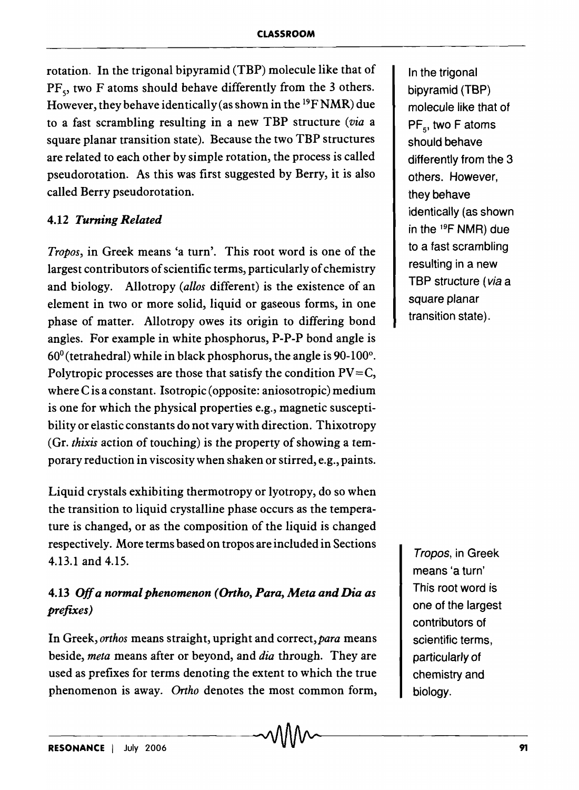rotation. In the trigonal bipyramid (TBP) molecule like that of  $PF<sub>5</sub>$ , two F atoms should behave differently from the 3 others. However, they behave identically (as shown in the 19F NMR) due to a fast scrambling resulting in a new TBP structure *(via* a square planar transition state). Because the two TBP structures are related to each other by simple rotation, the process is called pseudorotation. As this was first suggested by Berry, it is also called Berry pseudorotation.

#### *4.12 Turning Related*

*Tropos,* in Greek means 'a turn'. This root word is one of the largest contributors of scientific terms, particularly of chemistry and biology. Allotropy *(allos* different) is the existence of an element in two or more solid, liquid or gaseous forms, in one phase of matter. Allotropy owes its origin to differing bond angles. For example in white phosphorus, P-P-P bond angle is  $60^{\circ}$  (tetrahedral) while in black phosphorus, the angle is 90-100°. Polytropic processes are those that satisfy the condition  $PV = C$ , where C is a constant. Isotropic (opposite: aniosotropic) medium is one for which the physical properties e.g., magnetic susceptibility or elastic constants do not vary with direction. Thixotropy (Gr. *thixis* action of touching) is the property of showing a temporary reduction in viscosity when shaken or stirred, e.g., paints.

Liquid crystals exhibiting thermotropy or lyotropy, do so when the transition to liquid crystalline phase occurs as the temperature is changed, or as the composition of the liquid is changed respectively. More terms based on tropos are included in Sections 4.13.1 and 4.15.

# *4.13 Off a normal phenomenon (Ortho, Para, Meta and Dia as prefIXes)*

In Greek, *orthos* means straight, upright and *correct,para* means beside, *meta* means after or beyond, and *dia* through. They are used as prefixes for terms denoting the extent to which the true phenomenon is away. *Ortho* denotes the most common form,

R -E-S-O-N-A-N-C-E--I-J-U-IY--20-0-6--------------~~-----------------------------~-

In the trigonal bipyramid (TBP) molecule like that of PF<sub>c</sub>, two F atoms should behave differently from the 3 others. However, they behave identically (as shown in the 19F NMR) due to a fast scrambling resulting in a new TBP structure (via a square planar transition state).

Tropos, in Greek means 'a turn' This root word is one of the largest contributors of scientific terms, particularly of chemistry and biology.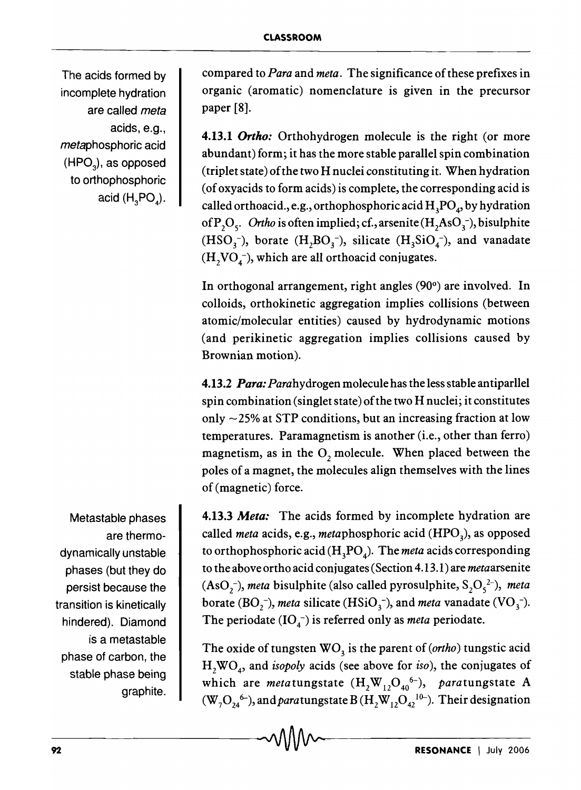The acids formed by incomplete hydration are called *meta*  acids, e.g., metaphosphoric acid  $(HPO<sub>3</sub>)$ , as opposed to orthophosphoric acid  $(H_3PO_4)$ .

Metastable phases are thermodynamically unstable phases (but they do persist because the transition is kinetically hindered). Diamond is a metastable phase of carbon, the stable phase being graphite.

com pared to *Para* and *meta.* The significance of these prefixes in organic (aromatic) nomenclature is given in the precursor paper [8].

*4.13.1 Ortho:* Orthohydrogen molecule is the right (or more abundant) form; it has the more stable parallel spin combination (triplet state) of the two H nuclei constituting it. When hydration (of oxyacids to form acids) is complete, the corresponding acid is called orthoacid., e.g., orthophosphoric acid  $\text{H}_{3}\text{PO}_{4}$ , by hydration of  $P_2O_5$ . *Ortho* is often implied; cf., arsenite (H<sub>2</sub>AsO<sub>3</sub><sup>-</sup>), bisulphite  $(HSO_3^-)$ , borate  $(H_2BO_3^-)$ , silicate  $(H_3SiO_4^-)$ , and vanadate  $(H_2VO_4^-)$ , which are all orthoacid conjugates.

In orthogonal arrangement, right angles (90°) are involved. In colloids, orthokinetic aggregation implies collisions (between atomic/molecular entities) caused by hydrodynamic motions (and perikinetic aggregation implies collisions caused by Brownian motion).

*4.13.2 Para: Para* hydrogen molecule has the less stable antiparllel spin combination (singlet state) of the two H nuclei; it constitutes only  $\sim$  25% at STP conditions, but an increasing fraction at low temperatures. Paramagnetism is another (i.e., other than ferro) magnetism, as in the  $O$ , molecule. When placed between the poles of a magnet, the molecules align themselves with the lines of (magnetic) force.

*4.13.3 Meta:* The acids formed by incomplete hydration are called *meta* acids, e.g., metaphosphoric acid (HPO<sub>3</sub>), as opposed to orthophosphoric acid (H<sub>3</sub>PO<sub>4</sub>). The *meta* acids corresponding to the above ortho acid conjugates (Section 4.13.1) are *meta* arsenite  $(AsO<sub>2</sub><sup>-</sup>)$ , *meta* bisulphite (also called pyrosulphite,  $S<sub>2</sub>O<sub>5</sub><sup>2</sup><sub>-</sub>$ ), *meta* borate  $(BO<sub>2</sub><sup>-</sup>)$ , *meta* silicate  $(HSiO<sub>3</sub><sup>-</sup>)$ , and *meta* vanadate  $(VO<sub>3</sub><sup>-</sup>)$ . The periodate  $(IO<sub>a</sub><sup>-</sup>)$  is referred only as *meta* periodate.

The oxide of tungsten WO<sub>3</sub> is the parent of *(ortho)* tungstic acid H2 W04, and *isopoly* acids (see above for *iso),* the conjugates of which are *meta* tungstate  $(H, W_1, O_{40}^{\phantom{10}6})$ , *para* tungstate A  $(W_7O_{\lambda_4}^6)$ , and paratungstate B  $(H_7W_1,O_{42}^{10-})$ . Their designation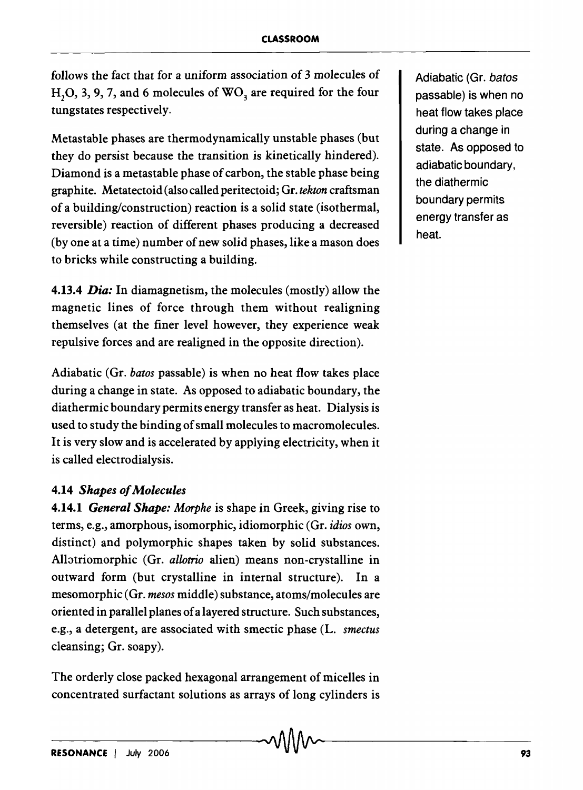follows the fact that for a uniform association of 3 molecules of  $H<sub>2</sub>O$ , 3, 9, 7, and 6 molecules of  $WO<sub>3</sub>$  are required for the four tungstates respectively.

Metastable phases are thermodynamically unstable phases (but they do persist because the transition is kinetically hindered). Diamond is a metastable phase of carbon, the stable phase being graphite. Metatectoid (also called peritectoid; Gr. *tekton* craftsman of a building/construction) reaction is a solid state (isothermal, reversible) reaction of different phases producing a decreased (by one at a time) number of new solid phases, like a mason does to bricks while constructing a building.

*4.13.4 Dia:* In diamagnetism, the molecules (mostly) allow the magnetic lines of force through them without realigning themselves (at the finer level however, they experience weak repulsive forces and are realigned in the opposite direction).

Adiabatic (Gr. *batos* passable) is when no heat flow takes place during a change in state. As opposed to adiabatic boundary, the diathermic boundary permits energy transfer as heat. Dialysis is used to study the binding of small molecules to macromolecules. It is very slow and is accelerated by applying electricity, when it is called electrodialysis.

### *4.14 Shapes of Molecules*

*4.14.1 General Shape: Morphe* is shape in Greek, giving rise to terms, e.g., amorphous, isomorphic, idiomorphic (Gr. *idios* own, distinct) and polymorphic shapes taken by solid substances. Albtriomorphic (Gr. *allotrio* alien) means non-crystalline in outward form (but crystalline in internal structure). In a mesomorphic (Gr. *mesos* middle) substance, atoms/molecules are oriented in parallel planes of a layered structure. Such substances, e.g., a detergent, are associated with smectic phase (L. *smectus*  cleansing; Gr. soapy).

The orderly close packed hexagonal arrangement of micelles in concentrated surfactant solutions as arrays of long cylinders is Adiabatic (Gr. batos passable) is when no heat flow takes place during a change in state. As opposed to adiabatic boundary, the diathermic boundary permits energy transfer as heat.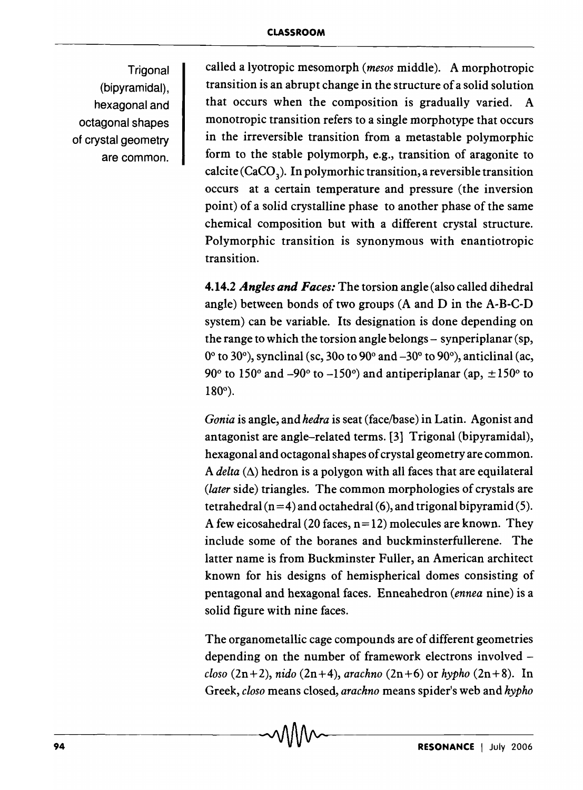**Trigonal** (bipyramidal) , hexagonal and octagonal shapes of crystal geometry are common.

called a lyotropic mesomorph *(mesos* middle). A morphotropic transition is an abrupt change in the structure of a solid solution that occurs when the composition is gradually varied. A monotropic transition refers to a single morphotype that occurs in the irreversible transition from a metastable polymorphic form to the stable polymorph, e.g., transition of aragonite to calcite (CaCO<sub>3</sub>). In polymorhic transition, a reversible transition occurs at a certain temperature and pressure (the inversion point) of a solid crystalline phase to another phase of the same chemical composition but with a different crystal structure. Polymorphic transition is synonymous with enantiotropic transition.

*4.14.2 Angles and Faces:* The torsion angle (also called dihedral angle) between bonds of two groups (A and D in the A-B-C-D system) can be variable. Its designation is done depending on the range to which the torsion angle belongs - synperiplanar (sp,  $0^{\circ}$  to 30 $^{\circ}$ ), synclinal (sc, 300 to 90 $^{\circ}$  and  $-30^{\circ}$  to 90 $^{\circ}$ ), anticlinal (ac, 90° to 150° and -90° to -150°) and antiperiplanar (ap,  $\pm 150$ ° to 180°).

Gonia is angle, and *hedra* is seat (face/base) in Latin. Agonist and antagonist are angle-related terms. [3] Trigonal (bipyramidal), hexagonal and octagonal shapes of crystal geometry are common. A *delta*  $(\Delta)$  hedron is a polygon with all faces that are equilateral *(later* side) triangles. The common morphologies of crystals are tetrahedral  $(n=4)$  and octahedral (6), and trigonal bipyramid (5). A few eicosahedral (20 faces,  $n=12$ ) molecules are known. They include some of the boranes and buckminsterfullerene. The latter name is from Buckminster Fuller, an American architect known for his designs of hemispherical domes consisting of pentagonal and hexagonal faces. Enneahedron *(ennea* nine) is a solid figure with nine faces.

The organometallic cage compounds are of different geometries depending on the number of framework electrons involved *closo*  $(2n+2)$ , *nido*  $(2n+4)$ , *arachno*  $(2n+6)$  or *hypho*  $(2n+8)$ . In Greek, *closo* means closed, *arachno* means spider's web and *hypho*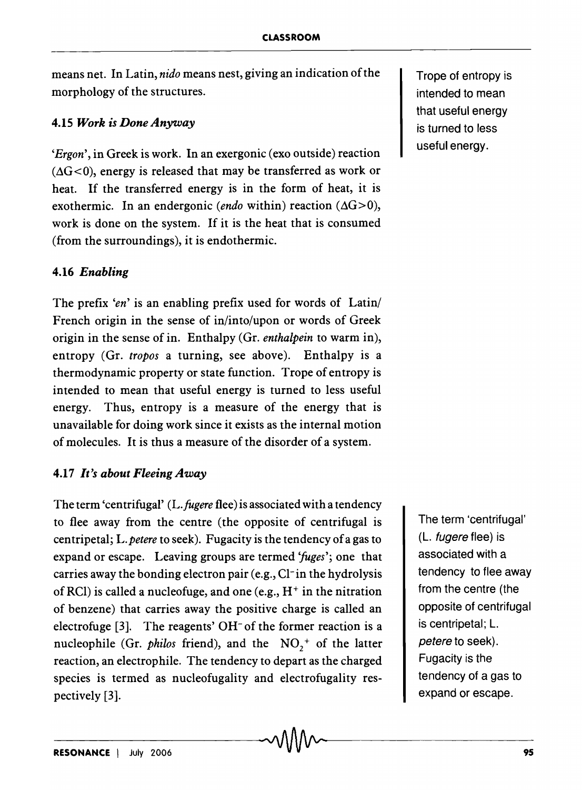means net. In Latin, *nido* means nest, giving an indication of the morphology of the structures.

#### *4.15 Work is Done Anyway*

*'Ergon',* in Greek is work. In an exergonic (exo outside) reaction  $(\Delta G<0)$ , energy is released that may be transferred as work or heat. If the transferred energy is in the form of heat, it is exothermic. In an endergonic *(endo* within) reaction  $(\Delta G > 0)$ , work is done on the system. If it is the heat that is consumed (from the surroundings), it is endothermic.

#### *4.16 Enabling*

The prefix *'en'* is an enabling prefix used for words of Latin/ French origin in the sense of in/into/upon or words of Greek origin in the sense of in. Enthalpy (Gr. *enthalpein* to warm in), entropy (Gr. *tropos* a turning, see above). Enthalpy is a thermodynamic property or state function. Trope of entropy is intended to mean that useful energy is turned to less useful energy. Thus, entropy is a measure of the energy that is unavailable for doing work since it exists as the internal motion of molecules. It is thus a measure of the disorder of a system.

#### *4.17 It's about Fleeing Away*

The term 'centrifugal' *(L.fugere* flee) is associated with a tendency to flee away from the centre (the opposite of centrifugal is centripetal; L. *petere* to seek). Fugacity is the tendency of a gas to expand or escape. Leaving groups are termed 'fuges'; one that carries away the bonding electron pair (e.g., Cl-in the hydrolysis of RCl) is called a nucleofuge, and one (e.g.,  $H^+$  in the nitration of benzene) that carries away the positive charge is called an electrofuge [3]. The reagents' OH<sup>-</sup> of the former reaction is a nucleophile (Gr. *philos* friend), and the NO<sub>2</sub><sup>+</sup> of the latter reaction, an electrophile. The tendency to depart as the charged species is termed as nucleofugality and electrofugality respectively [3].

Trope of entropy is intended to mean that useful energy is turned to less useful energy.

The term 'centrifugal' (L. fugere flee) is associated with a tendency to flee away from the centre (the opposite of centrifugal is centripetal; L. petere to seek). Fugacity is the tendency of a gas to expand or escape.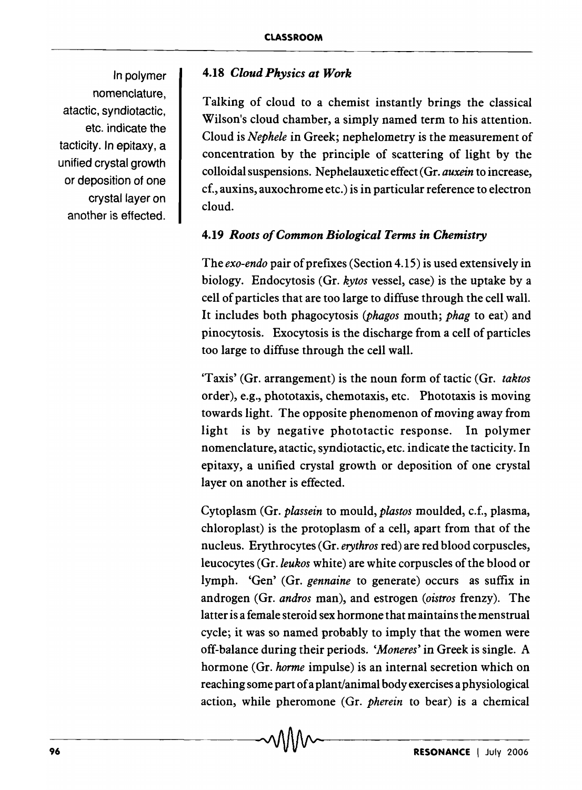In polymer nomenclature, atactic, syndiotactic, etc. indicate the tacticity. In epitaxy, a unified crystal growth or deposition of one crystal layer on another is effected.

### 4.18 *Cloud Physics at Work*

Talking of cloud to a chemist instantly brings the classical Wilson's cloud chamber, a simply named term to his attention. Cloud is *Nephele* in Greek; nephelometry is the measurement of concentration by the principle of scattering of light by the colloidal suspensions. Nephelauxetic effect (Gr. *auxein* to increase, cf., auxins, auxochrome etc.) is in particular reference to electron cloud.

#### *4.19 Roots o/Common Biological Terms in Chemistry*

The *exo-endo* pair of prefixes (Section 4.15) is used extensively in biology. Endocytosis (Gr. *kytos* vessel, case) is the uptake by a cell of particles that are too large to diffuse through the cell wall. It includes both phagocytosis *(phagos* mouth; *phag* to eat) and pinocytosis. Exocytosis is the discharge from a cell of particles too large to diffuse through the cell wall.

'Taxis' (Gr. arrangement) is the noun form of tactic (Gr. *taktos*  order), e.g., phototaxis, chemotaxis, etc. Phototaxis is moving towards light. The opposite phenomenon of moving away from light is by negative phototactic response. In polymer nomenclature, atactic, syndiotactic, etc. indicate the tacticity. In epitaxy, a unified crystal growth or deposition of one crystal layer on another is effected.

Cytoplasm (Gr. *plassein* to mould, *plastos* moulded, c.f., plasma, chloroplast) is the protoplasm of a cell, apart from that of the nucleus. Erythrocytes (Gr. *erythros* red) are red blood corpuscles, leucocytes *(Gr.leukos* white) are white corpuscles of the blood or lymph. 'Gen' (Gr. *gennaine* to generate) occurs as suffix in androgen (Gr. *andros* man), and estrogen *(oistros* frenzy). The latter is a female steroid sex hormone that maintains the menstrual cycle; it was so named probably to imply that the women were off-balance during their periods. *'Moneres'* in Greek is single. A hormone (Gr. *horme* impulse) is an internal secretion which on reaching some part of a plant/animal body exercises a physiological action, while pheromone (Gr. *pherein* to bear) is a chemical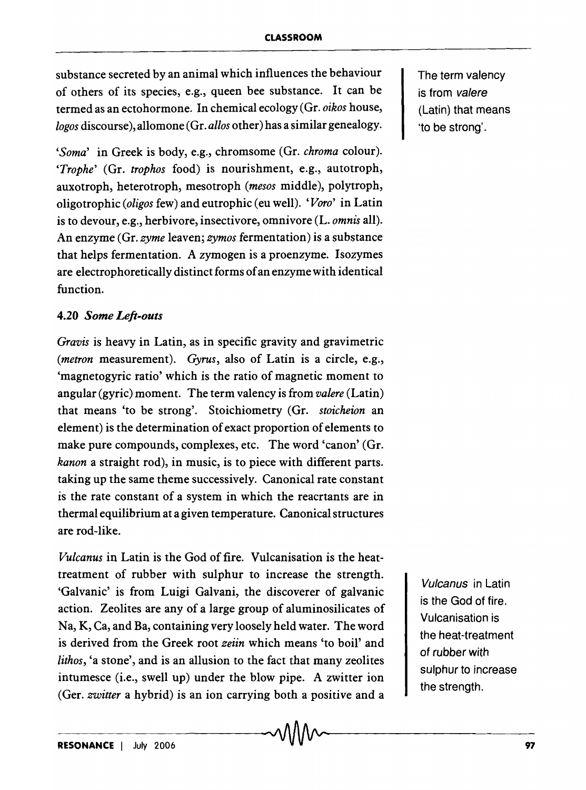substance secreted by an animal which influences the behaviour of others of its species, e.g., queen bee substance. It can be termed as an ectohormone. In chemical ecology (Gr. *oikos* house, *logos* discourse), allomone (Gr. *alios* other) has a similar genealogy.

*'Soma'* in Greek is body, e.g., chromsome (Gr. *chroma* colour). *'Trophe'* (Gr. *trophos* food) is nourishment, e.g., autotroph, auxotroph, heterotroph, mesotroph *(mesos* middle), polytroph, oligotrophic *(oligos* few) and eutrophic (eu well). *'Voro'* in Latin is to devour, e.g., herbivore, insectivore, omnivore (L. *omnis* all). An enzyme (Gr. *zyme* leaven; *zymos* fermentation) is a substance that helps fermentation. A zymogen is a proenzyme. Isozymes are electrophoretically distinct forms of an enzyme with identical function.

### *4.20 Some Left-outs*

*Gravis* is heavy in Latin, as in specific gravity and gravimetric *(metron* measurement). *Gyrus,* also of Latin is a circle, e.g., 'magnetogyric ratio' which is the ratio of magnetic moment to angular (gyric) moment. The term valency is from *valere* (Latin) that means 'to be strong'. Stoichiometry (Gr. *stoicheion* an element) is the determination of exact proportion of elements to make pure compounds, complexes, etc. The word 'canon' (Gr. *kanon* a straight rod), in music, is to piece with different parts. taking up the same theme successively. Canonical rate constant is the rate constant of a system in which the reacrtants are in thermal equilibrium at a given temperature. Canonical structures are rod-like.

*Vulcanus* in Latin is the God of fire. Vulcanisation is the heattreatment of rubber with sulphur to increase the strength. 'Galvanic' is from Luigi Galvani, the discoverer of galvanic action. Zeolites are any of a large group of aluminosilicates of  $Na, K, Ca, and Ba, containing very loosely held water. The word$ is derived from the Greek root *zeiin* which means 'to boil' and *lithos,* 'a stone', and is an allusion to the fact that many zeolites intumesce (i.e., swell up) under the blow pipe. A zwitter ion (Ger. *zwitter* a hybrid) is an ion carrying both a positive and a The term valency is from va/ere (Latin) that means 'to be strong'.

Vulcanus in Latin is the God of fire. Vulcanisation is the heat-treatment of rubber with sulphur to increase the strength.